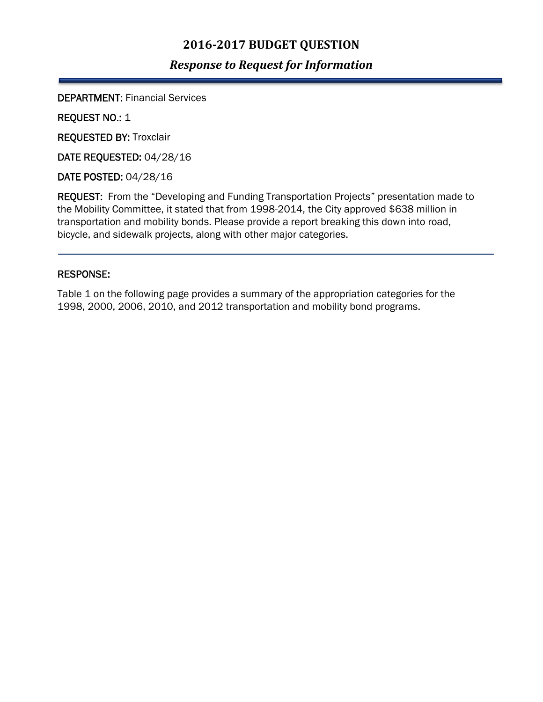## **2016‐2017 BUDGET QUESTION**

## *Response to Request for Information*

DEPARTMENT: Financial Services

REQUEST NO.: 1

REQUESTED BY: Troxclair

DATE REQUESTED: 04/28/16

DATE POSTED: 04/28/16

REQUEST: From the "Developing and Funding Transportation Projects" presentation made to the Mobility Committee, it stated that from 1998-2014, the City approved \$638 million in transportation and mobility bonds. Please provide a report breaking this down into road, bicycle, and sidewalk projects, along with other major categories.

## RESPONSE:

**.** 

Table 1 on the following page provides a summary of the appropriation categories for the 1998, 2000, 2006, 2010, and 2012 transportation and mobility bond programs.